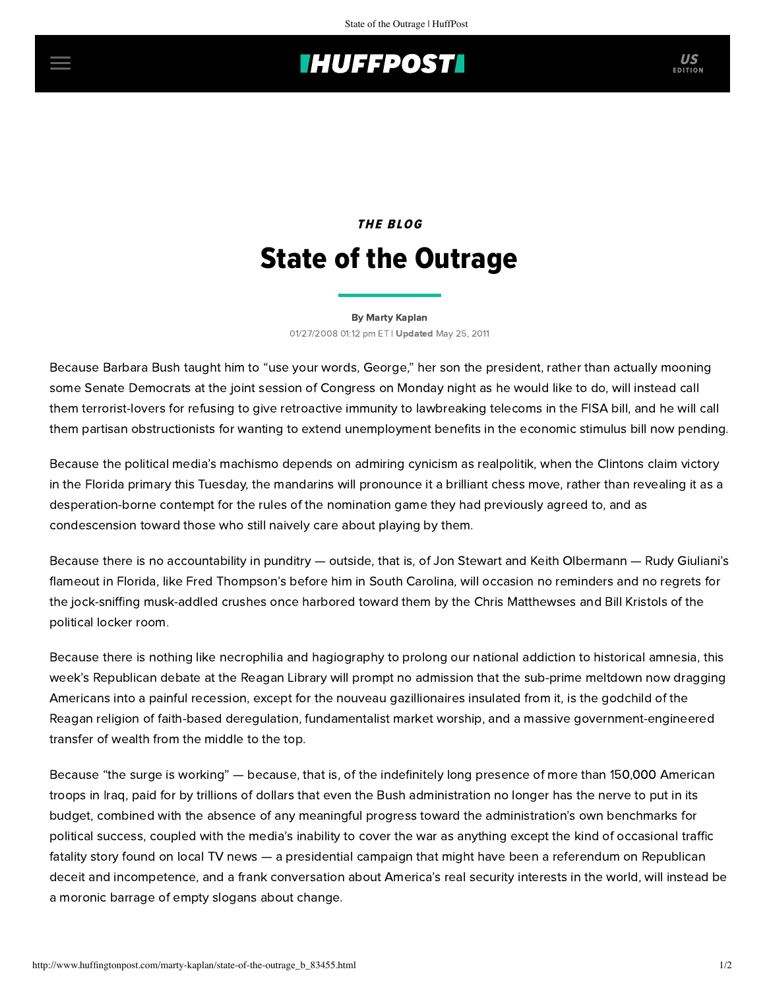## **INUFFPOSTI** US

# THE BLOG State of the Outrage

#### [By Marty Kaplan](http://www.huffingtonpost.com/author/marty-kaplan) 01/27/2008 01:12 pm ET | Updated May 25, 2011

Because Barbara Bush taught him to "use your words, George," her son the president, rather than actually mooning some Senate Democrats at the joint session of Congress on Monday night as he would like to do, will instead call them terrorist-lovers for refusing to give retroactive immunity to lawbreaking telecoms in the FISA bill, and he will call them partisan obstructionists for wanting to extend unemployment benefits in the economic stimulus bill now pending.

Because the political media's machismo depends on admiring cynicism as realpolitik, when the Clintons claim victory in the Florida primary this Tuesday, the mandarins will pronounce it a brilliant chess move, rather than revealing it as a desperation-borne contempt for the rules of the nomination game they had previously agreed to, and as condescension toward those who still naively care about playing by them.

Because there is no accountability in punditry — outside, that is, of Jon Stewart and Keith Olbermann — Rudy Giuliani's flameout in Florida, like Fred Thompson's before him in South Carolina, will occasion no reminders and no regrets for the jock-sniffing musk-addled crushes once harbored toward them by the Chris Matthewses and Bill Kristols of the political locker room.

Because there is nothing like necrophilia and hagiography to prolong our national addiction to historical amnesia, this week's Republican debate at the Reagan Library will prompt no admission that the sub-prime meltdown now dragging Americans into a painful recession, except for the nouveau gazillionaires insulated from it, is the godchild of the Reagan religion of faith-based deregulation, fundamentalist market worship, and a massive government-engineered transfer of wealth from the middle to the top.

Because "the surge is working" — because, that is, of the indefinitely long presence of more than 150,000 American troops in Iraq, paid for by trillions of dollars that even the Bush administration no longer has the nerve to put in its budget, combined with the absence of any meaningful progress toward the administration's own benchmarks for political success, coupled with the media's inability to cover the war as anything except the kind of occasional traffic fatality story found on local TV news — a presidential campaign that might have been a referendum on Republican deceit and incompetence, and a frank conversation about America's real security interests in the world, will instead be a moronic barrage of empty slogans about change.